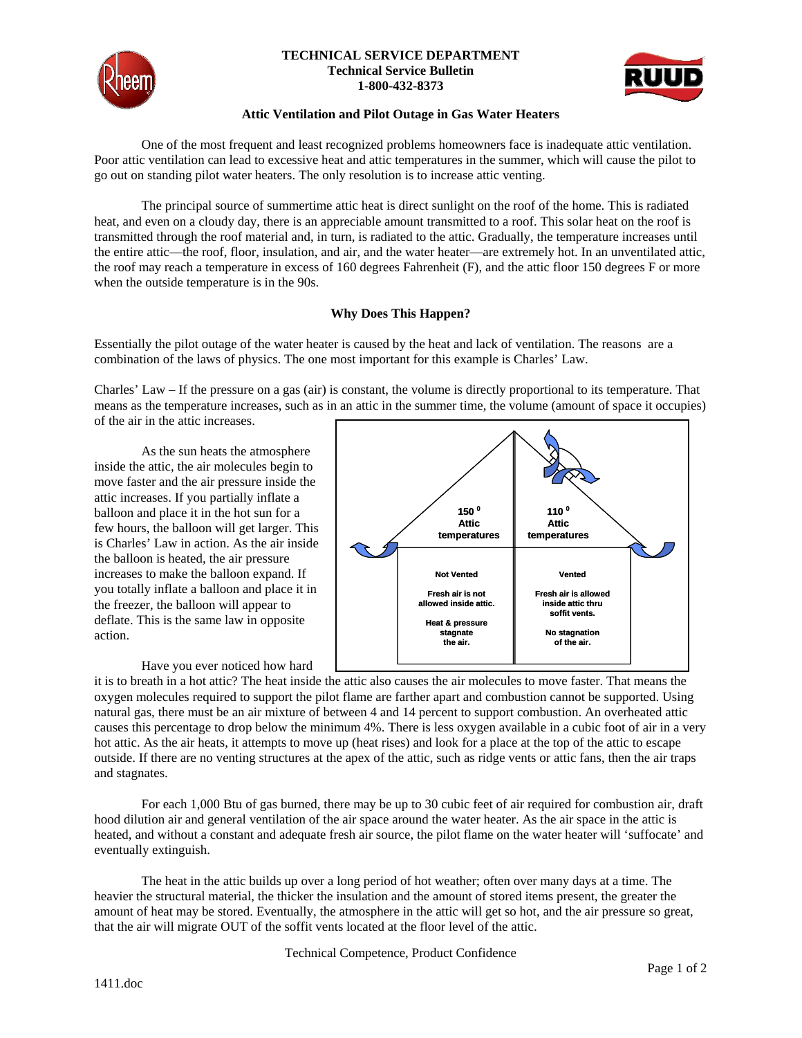

### **TECHNICAL SERVICE DEPARTMENT Technical Service Bulletin 1-800-432-8373**



## **Attic Ventilation and Pilot Outage in Gas Water Heaters**

One of the most frequent and least recognized problems homeowners face is inadequate attic ventilation. Poor attic ventilation can lead to excessive heat and attic temperatures in the summer, which will cause the pilot to go out on standing pilot water heaters. The only resolution is to increase attic venting.

The principal source of summertime attic heat is direct sunlight on the roof of the home. This is radiated heat, and even on a cloudy day, there is an appreciable amount transmitted to a roof. This solar heat on the roof is transmitted through the roof material and, in turn, is radiated to the attic. Gradually, the temperature increases until the entire attic—the roof, floor, insulation, and air, and the water heater—are extremely hot. In an unventilated attic, the roof may reach a temperature in excess of 160 degrees Fahrenheit (F), and the attic floor 150 degrees F or more when the outside temperature is in the 90s.

# **Why Does This Happen?**

Essentially the pilot outage of the water heater is caused by the heat and lack of ventilation. The reasons are a combination of the laws of physics. The one most important for this example is Charles' Law.

Charles' Law – If the pressure on a gas (air) is constant, the volume is directly proportional to its temperature. That means as the temperature increases, such as in an attic in the summer time, the volume (amount of space it occupies) of the air in the attic increases.

As the sun heats the atmosphere inside the attic, the air molecules begin to move faster and the air pressure inside the attic increases. If you partially inflate a balloon and place it in the hot sun for a few hours, the balloon will get larger. This is Charles' Law in action. As the air inside the balloon is heated, the air pressure increases to make the balloon expand. If you totally inflate a balloon and place it in the freezer, the balloon will appear to deflate. This is the same law in opposite action.

Have you ever noticed how hard



it is to breath in a hot attic? The heat inside the attic also causes the air molecules to move faster. That means the oxygen molecules required to support the pilot flame are farther apart and combustion cannot be supported. Using natural gas, there must be an air mixture of between 4 and 14 percent to support combustion. An overheated attic causes this percentage to drop below the minimum 4%. There is less oxygen available in a cubic foot of air in a very hot attic. As the air heats, it attempts to move up (heat rises) and look for a place at the top of the attic to escape outside. If there are no venting structures at the apex of the attic, such as ridge vents or attic fans, then the air traps and stagnates.

 For each 1,000 Btu of gas burned, there may be up to 30 cubic feet of air required for combustion air, draft hood dilution air and general ventilation of the air space around the water heater. As the air space in the attic is heated, and without a constant and adequate fresh air source, the pilot flame on the water heater will 'suffocate' and eventually extinguish.

The heat in the attic builds up over a long period of hot weather; often over many days at a time. The heavier the structural material, the thicker the insulation and the amount of stored items present, the greater the amount of heat may be stored. Eventually, the atmosphere in the attic will get so hot, and the air pressure so great, that the air will migrate OUT of the soffit vents located at the floor level of the attic.

Technical Competence, Product Confidence